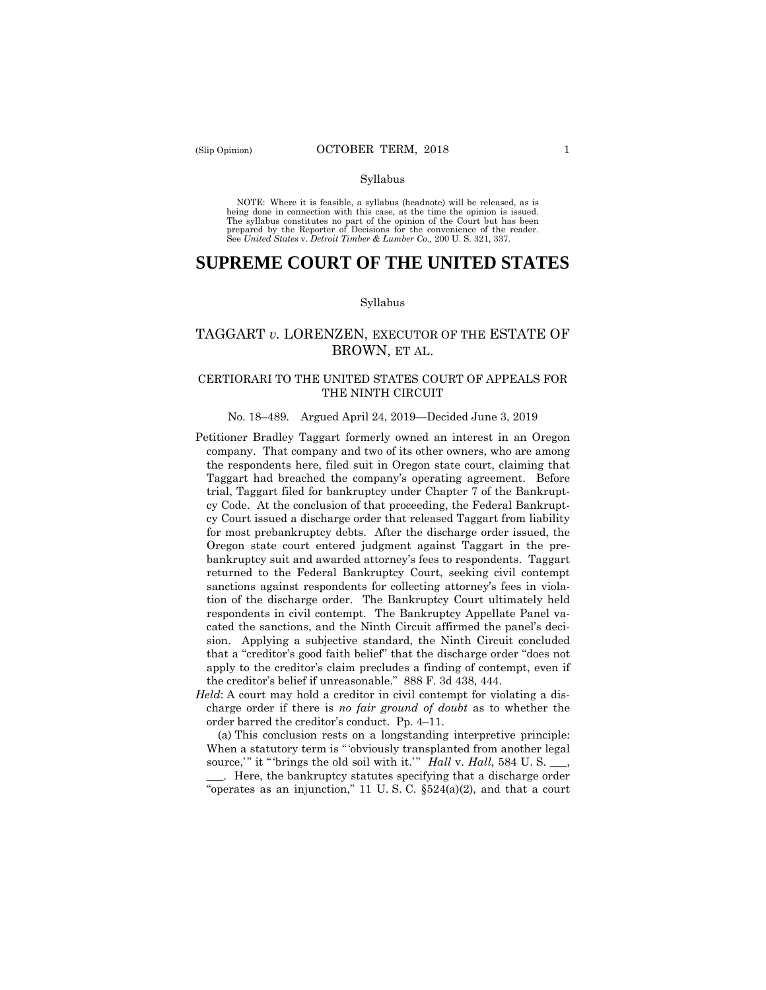#### Syllabus

 NOTE: Where it is feasible, a syllabus (headnote) will be released, as is being done in connection with this case, at the time the opinion is issued. The syllabus constitutes no part of the opinion of the Court but has been<br>prepared by the Reporter of Decisions for the convenience of the reader.<br>See United States v. Detroit Timber & Lumber Co., 200 U.S. 321, 337.

## **SUPREME COURT OF THE UNITED STATES**

#### Syllabus

## TAGGART *v.* LORENZEN, EXECUTOR OF THE ESTATE OF BROWN, ET AL.

## CERTIORARI TO THE UNITED STATES COURT OF APPEALS FOR THE NINTH CIRCUIT

#### No. 18–489. Argued April 24, 2019—Decided June 3, 2019

- the creditor's belief if unreasonable." 888 F. 3d 438, 444. Petitioner Bradley Taggart formerly owned an interest in an Oregon company. That company and two of its other owners, who are among the respondents here, filed suit in Oregon state court, claiming that Taggart had breached the company's operating agreement. Before trial, Taggart filed for bankruptcy under Chapter 7 of the Bankruptcy Code. At the conclusion of that proceeding, the Federal Bankruptcy Court issued a discharge order that released Taggart from liability for most prebankruptcy debts. After the discharge order issued, the Oregon state court entered judgment against Taggart in the prebankruptcy suit and awarded attorney's fees to respondents. Taggart returned to the Federal Bankruptcy Court, seeking civil contempt sanctions against respondents for collecting attorney's fees in violation of the discharge order. The Bankruptcy Court ultimately held respondents in civil contempt. The Bankruptcy Appellate Panel vacated the sanctions, and the Ninth Circuit affirmed the panel's decision. Applying a subjective standard, the Ninth Circuit concluded that a "creditor's good faith belief" that the discharge order "does not apply to the creditor's claim precludes a finding of contempt, even if
- *Held*: A court may hold a creditor in civil contempt for violating a discharge order if there is *no fair ground of doubt* as to whether the order barred the creditor's conduct. Pp. 4–11.

source," it "brings the old soil with it." *Hall* v. *Hall*, 584 U.S. \_\_, (a) This conclusion rests on a longstanding interpretive principle: When a statutory term is "obviously transplanted from another legal

\_\_\_. Here, the bankruptcy statutes specifying that a discharge order "operates as an injunction," 11 U. S. C. §524(a)(2), and that a court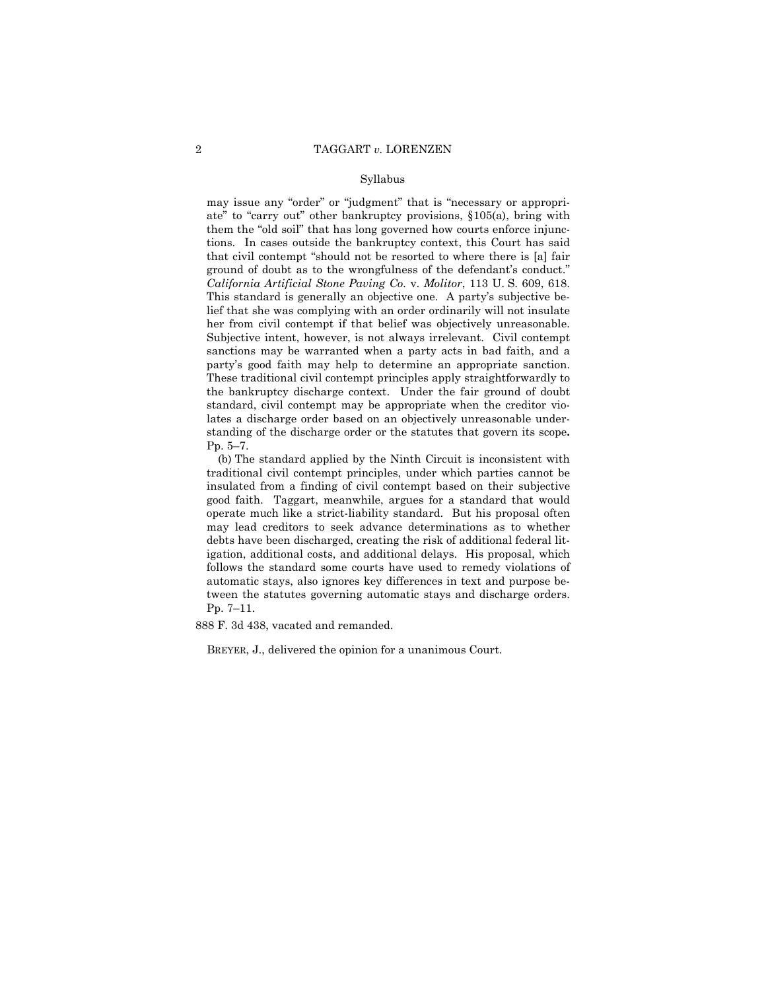#### Syllabus

her from civil contempt if that belief was objectively unreasonable. standing of the discharge order or the statutes that govern its scope**.** may issue any "order" or "judgment" that is "necessary or appropriate" to "carry out" other bankruptcy provisions, §105(a), bring with them the "old soil" that has long governed how courts enforce injunctions. In cases outside the bankruptcy context, this Court has said that civil contempt "should not be resorted to where there is [a] fair ground of doubt as to the wrongfulness of the defendant's conduct." *California Artificial Stone Paving Co.* v. *Molitor*, 113 U. S. 609, 618. This standard is generally an objective one. A party's subjective belief that she was complying with an order ordinarily will not insulate Subjective intent, however, is not always irrelevant. Civil contempt sanctions may be warranted when a party acts in bad faith, and a party's good faith may help to determine an appropriate sanction. These traditional civil contempt principles apply straightforwardly to the bankruptcy discharge context. Under the fair ground of doubt standard, civil contempt may be appropriate when the creditor violates a discharge order based on an objectively unreasonable under-Pp. 5–7.

(b) The standard applied by the Ninth Circuit is inconsistent with traditional civil contempt principles, under which parties cannot be insulated from a finding of civil contempt based on their subjective good faith. Taggart, meanwhile, argues for a standard that would operate much like a strict-liability standard. But his proposal often may lead creditors to seek advance determinations as to whether debts have been discharged, creating the risk of additional federal litigation, additional costs, and additional delays. His proposal, which follows the standard some courts have used to remedy violations of automatic stays, also ignores key differences in text and purpose between the statutes governing automatic stays and discharge orders. Pp. 7–11.

888 F. 3d 438, vacated and remanded.

BREYER, J., delivered the opinion for a unanimous Court.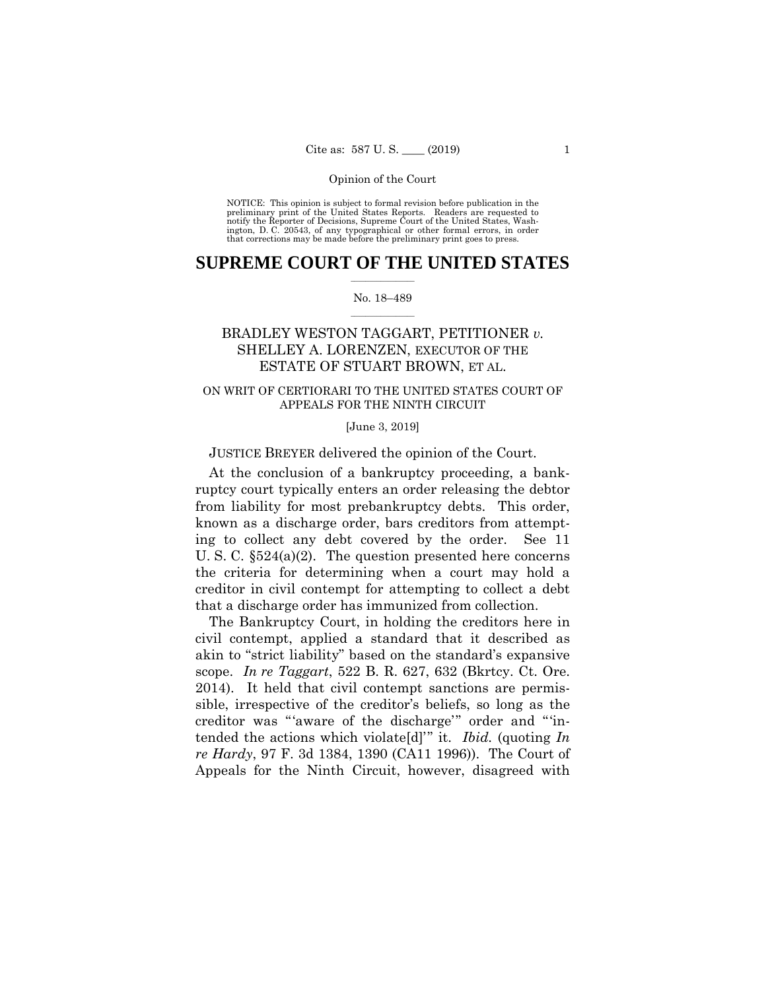preliminary print of the United States Reports. Readers are requested to notify the Reporter of Decisions, Supreme Court of the United States, Wash- ington, D. C. 20543, of any typographical or other formal errors, in order that corrections may be made before the preliminary print goes to press. NOTICE: This opinion is subject to formal revision before publication in the

## $\frac{1}{2}$  , where  $\frac{1}{2}$ **SUPREME COURT OF THE UNITED STATES**

#### $\frac{1}{2}$  ,  $\frac{1}{2}$  ,  $\frac{1}{2}$  ,  $\frac{1}{2}$  ,  $\frac{1}{2}$  ,  $\frac{1}{2}$ No. 18–489

# SHELLEY A. LORENZEN, EXECUTOR OF THE ESTATE OF STUART BROWN, ET AL. BRADLEY WESTON TAGGART, PETITIONER *v.*

## ON WRIT OF CERTIORARI TO THE UNITED STATES COURT OF APPEALS FOR THE NINTH CIRCUIT

[June 3, 2019]

JUSTICE BREYER delivered the opinion of the Court.

At the conclusion of a bankruptcy proceeding, a bankruptcy court typically enters an order releasing the debtor from liability for most prebankruptcy debts. This order, known as a discharge order, bars creditors from attempting to collect any debt covered by the order. See 11 U. S. C. §524(a)(2). The question presented here concerns the criteria for determining when a court may hold a creditor in civil contempt for attempting to collect a debt that a discharge order has immunized from collection.

The Bankruptcy Court, in holding the creditors here in civil contempt, applied a standard that it described as akin to "strict liability" based on the standard's expansive scope. *In re Taggart*, 522 B. R. 627, 632 (Bkrtcy. Ct. Ore. 2014). It held that civil contempt sanctions are permissible, irrespective of the creditor's beliefs, so long as the creditor was "'aware of the discharge'" order and "'intended the actions which violate[d]'" it. *Ibid.* (quoting *In re Hardy*, 97 F. 3d 1384, 1390 (CA11 1996)). The Court of Appeals for the Ninth Circuit, however, disagreed with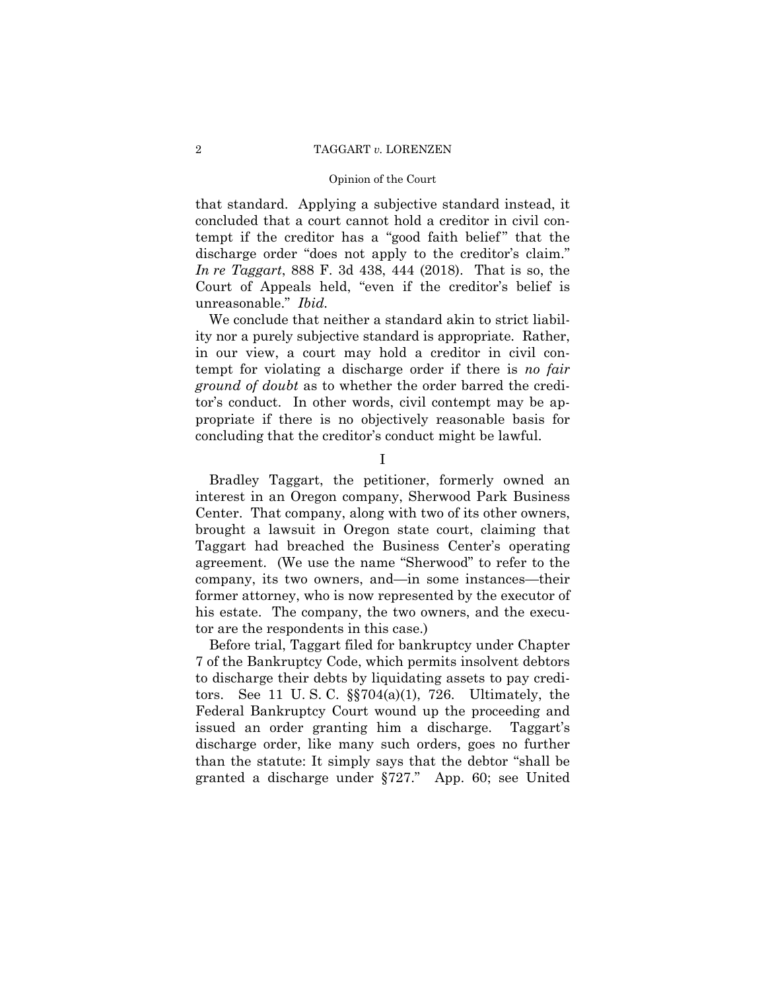#### Opinion of the Court

that standard. Applying a subjective standard instead, it concluded that a court cannot hold a creditor in civil contempt if the creditor has a "good faith belief" that the discharge order "does not apply to the creditor's claim." *In re Taggart*, 888 F. 3d 438, 444 (2018). That is so, the Court of Appeals held, "even if the creditor's belief is unreasonable." *Ibid.* 

We conclude that neither a standard akin to strict liability nor a purely subjective standard is appropriate. Rather, in our view, a court may hold a creditor in civil contempt for violating a discharge order if there is *no fair ground of doubt* as to whether the order barred the creditor's conduct. In other words, civil contempt may be appropriate if there is no objectively reasonable basis for concluding that the creditor's conduct might be lawful.

I

Bradley Taggart, the petitioner, formerly owned an interest in an Oregon company, Sherwood Park Business Center. That company, along with two of its other owners, brought a lawsuit in Oregon state court, claiming that Taggart had breached the Business Center's operating agreement. (We use the name "Sherwood" to refer to the company, its two owners, and—in some instances—their former attorney, who is now represented by the executor of his estate. The company, the two owners, and the executor are the respondents in this case.)

Before trial, Taggart filed for bankruptcy under Chapter 7 of the Bankruptcy Code, which permits insolvent debtors to discharge their debts by liquidating assets to pay creditors. See 11 U. S. C. §§704(a)(1), 726. Ultimately, the Federal Bankruptcy Court wound up the proceeding and issued an order granting him a discharge. Taggart's discharge order, like many such orders, goes no further than the statute: It simply says that the debtor "shall be granted a discharge under §727." App. 60; see United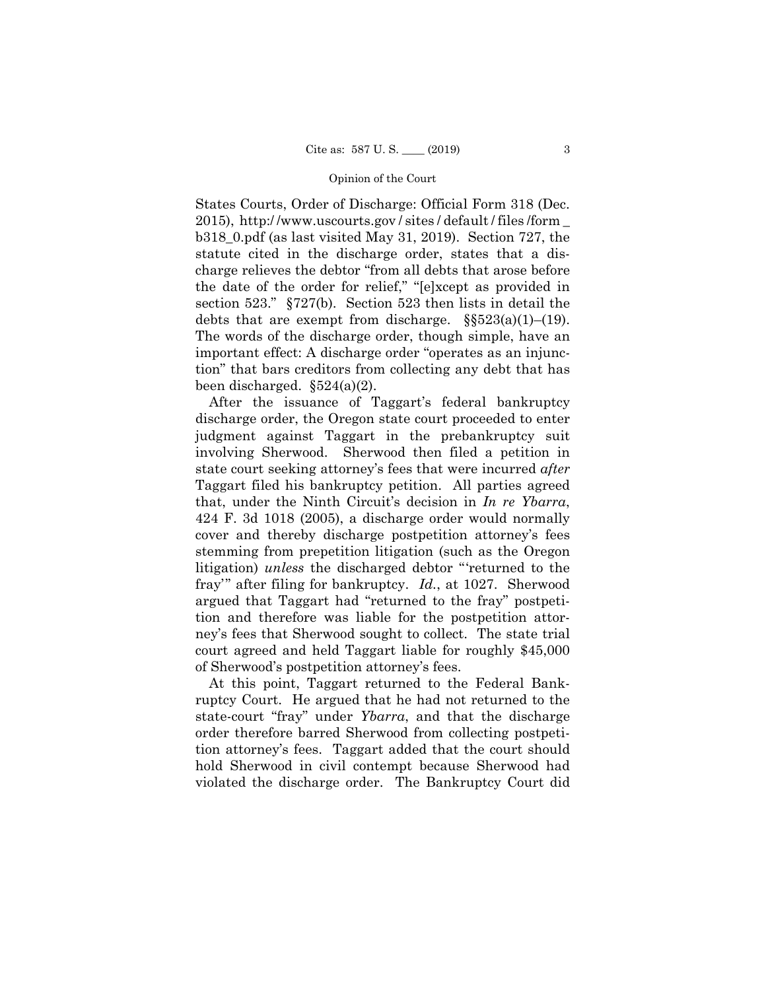2015), http:/ [/www.uscourts.gov](www.uscourts.gov) / sites / default / files /form \_ debts that are exempt from discharge.  $\S$ §523(a)(1)–(19). States Courts, Order of Discharge: Official Form 318 (Dec. b318\_0.pdf (as last visited May 31, 2019). Section 727, the statute cited in the discharge order, states that a discharge relieves the debtor "from all debts that arose before the date of the order for relief," "[e]xcept as provided in section 523." §727(b). Section 523 then lists in detail the The words of the discharge order, though simple, have an important effect: A discharge order "operates as an injunction" that bars creditors from collecting any debt that has been discharged.  $\S524(a)(2)$ .

After the issuance of Taggart's federal bankruptcy discharge order, the Oregon state court proceeded to enter judgment against Taggart in the prebankruptcy suit involving Sherwood. Sherwood then filed a petition in state court seeking attorney's fees that were incurred *after*  Taggart filed his bankruptcy petition. All parties agreed that, under the Ninth Circuit's decision in *In re Ybarra*, 424 F. 3d 1018 (2005), a discharge order would normally cover and thereby discharge postpetition attorney's fees stemming from prepetition litigation (such as the Oregon litigation) *unless* the discharged debtor "'returned to the fray'" after filing for bankruptcy. *Id.*, at 1027. Sherwood argued that Taggart had "returned to the fray" postpetition and therefore was liable for the postpetition attorney's fees that Sherwood sought to collect. The state trial court agreed and held Taggart liable for roughly \$45,000 of Sherwood's postpetition attorney's fees.

 state-court "fray" under *Ybarra*, and that the discharge At this point, Taggart returned to the Federal Bankruptcy Court. He argued that he had not returned to the order therefore barred Sherwood from collecting postpetition attorney's fees. Taggart added that the court should hold Sherwood in civil contempt because Sherwood had violated the discharge order. The Bankruptcy Court did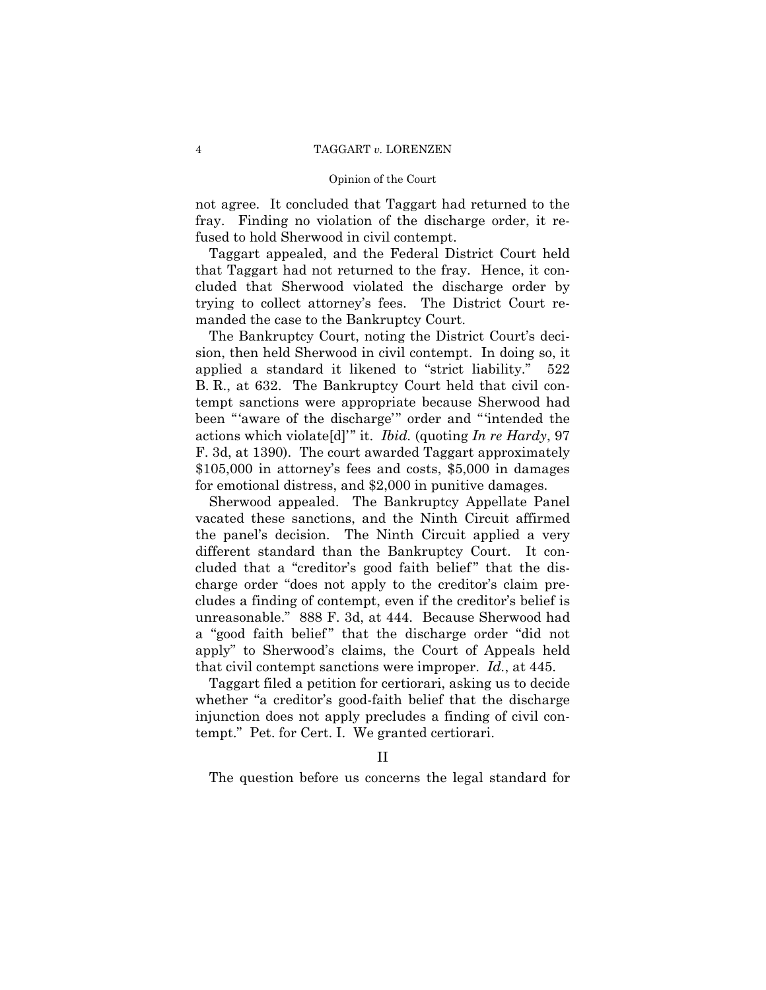#### Opinion of the Court

not agree. It concluded that Taggart had returned to the fray. Finding no violation of the discharge order, it refused to hold Sherwood in civil contempt.

Taggart appealed, and the Federal District Court held that Taggart had not returned to the fray. Hence, it concluded that Sherwood violated the discharge order by trying to collect attorney's fees. The District Court remanded the case to the Bankruptcy Court.

The Bankruptcy Court, noting the District Court's decision, then held Sherwood in civil contempt. In doing so, it applied a standard it likened to "strict liability." 522 B. R., at 632. The Bankruptcy Court held that civil contempt sanctions were appropriate because Sherwood had been "'aware of the discharge'" order and "'intended the actions which violate[d]'" it. *Ibid.* (quoting *In re Hardy*, 97 F. 3d, at 1390). The court awarded Taggart approximately \$105,000 in attorney's fees and costs, \$5,000 in damages for emotional distress, and \$2,000 in punitive damages.

Sherwood appealed. The Bankruptcy Appellate Panel vacated these sanctions, and the Ninth Circuit affirmed the panel's decision. The Ninth Circuit applied a very different standard than the Bankruptcy Court. It concluded that a "creditor's good faith belief" that the discharge order "does not apply to the creditor's claim precludes a finding of contempt, even if the creditor's belief is unreasonable." 888 F. 3d, at 444. Because Sherwood had a "good faith belief" that the discharge order "did not apply" to Sherwood's claims, the Court of Appeals held that civil contempt sanctions were improper. *Id.*, at 445.

Taggart filed a petition for certiorari, asking us to decide whether "a creditor's good-faith belief that the discharge injunction does not apply precludes a finding of civil contempt." Pet. for Cert. I. We granted certiorari.<br>II

The question before us concerns the legal standard for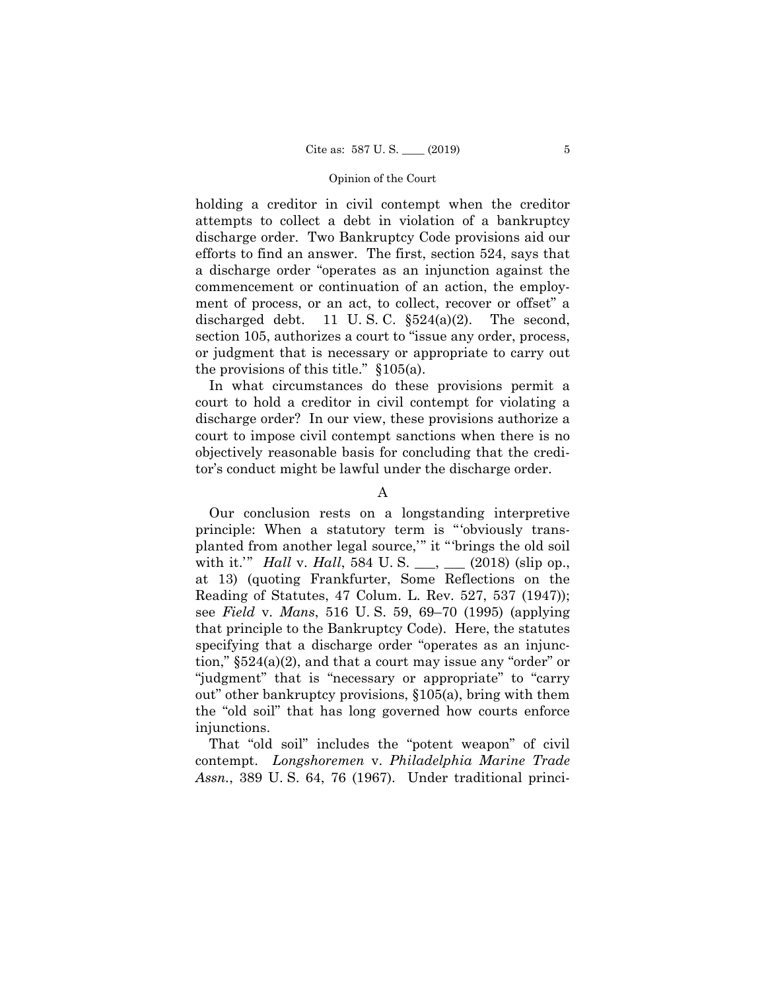holding a creditor in civil contempt when the creditor attempts to collect a debt in violation of a bankruptcy discharge order. Two Bankruptcy Code provisions aid our efforts to find an answer. The first, section 524, says that a discharge order "operates as an injunction against the commencement or continuation of an action, the employment of process, or an act, to collect, recover or offset" a discharged debt. 11 U.S.C.  $\S524(a)(2)$ . The second, section 105, authorizes a court to "issue any order, process, or judgment that is necessary or appropriate to carry out the provisions of this title." §105(a).

In what circumstances do these provisions permit a court to hold a creditor in civil contempt for violating a discharge order? In our view, these provisions authorize a court to impose civil contempt sanctions when there is no objectively reasonable basis for concluding that the creditor's conduct might be lawful under the discharge order.

## A

 planted from another legal source,'" it "'brings the old soil Our conclusion rests on a longstanding interpretive principle: When a statutory term is "'obviously transwith it.'" *Hall* v. *Hall*, 584 U. S. \_\_\_, \_\_\_ (2018) (slip op., at 13) (quoting Frankfurter, Some Reflections on the Reading of Statutes, 47 Colum. L. Rev. 527, 537 (1947)); see *Field* v. *Mans*, 516 U. S. 59, 69–70 (1995) (applying that principle to the Bankruptcy Code). Here, the statutes specifying that a discharge order "operates as an injunction," §524(a)(2), and that a court may issue any "order" or "judgment" that is "necessary or appropriate" to "carry out" other bankruptcy provisions, §105(a), bring with them the "old soil" that has long governed how courts enforce injunctions.

That "old soil" includes the "potent weapon" of civil contempt. *Longshoremen* v. *Philadelphia Marine Trade Assn.*, 389 U. S. 64, 76 (1967). Under traditional princi-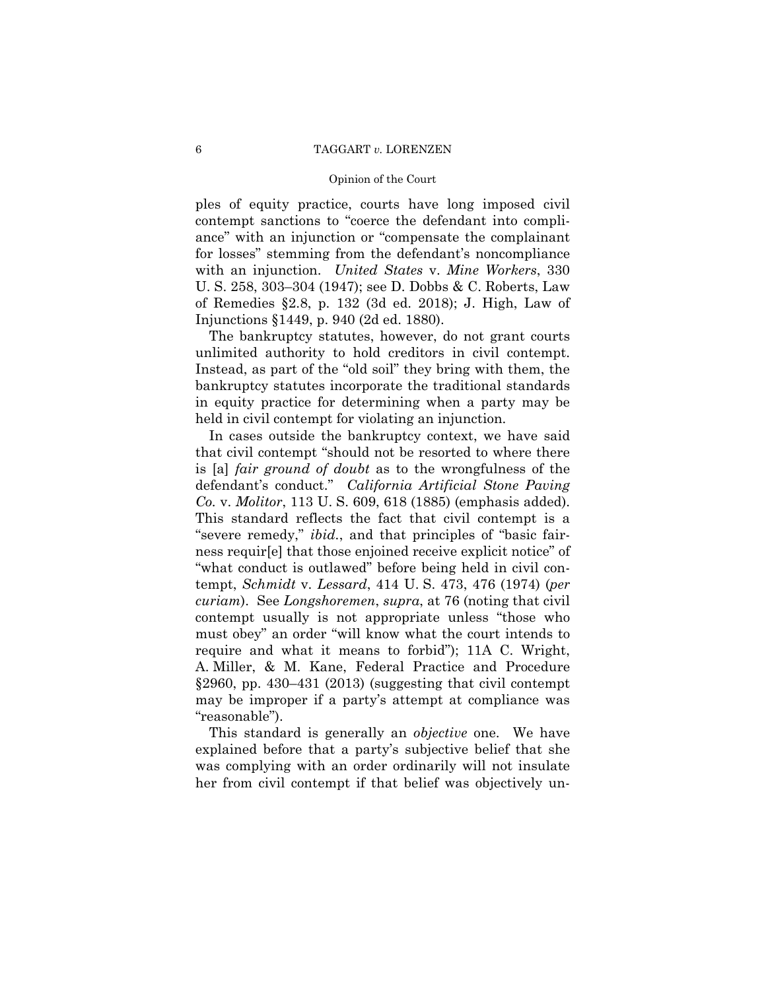ples of equity practice, courts have long imposed civil contempt sanctions to "coerce the defendant into compliance" with an injunction or "compensate the complainant for losses" stemming from the defendant's noncompliance with an injunction. *United States* v. *Mine Workers*, 330 U. S. 258, 303–304 (1947); see D. Dobbs & C. Roberts, Law of Remedies §2.8, p. 132 (3d ed. 2018); J. High, Law of Injunctions §1449, p. 940 (2d ed. 1880).

The bankruptcy statutes, however, do not grant courts unlimited authority to hold creditors in civil contempt. Instead, as part of the "old soil" they bring with them, the bankruptcy statutes incorporate the traditional standards in equity practice for determining when a party may be held in civil contempt for violating an injunction.

In cases outside the bankruptcy context, we have said that civil contempt "should not be resorted to where there is [a] *fair ground of doubt* as to the wrongfulness of the defendant's conduct." *California Artificial Stone Paving Co.* v. *Molitor*, 113 U. S. 609, 618 (1885) (emphasis added). This standard reflects the fact that civil contempt is a "severe remedy," *ibid.*, and that principles of "basic fairness requir[e] that those enjoined receive explicit notice" of "what conduct is outlawed" before being held in civil contempt, *Schmidt* v. *Lessard*, 414 U. S. 473, 476 (1974) (*per curiam*). See *Longshoremen*, *supra*, at 76 (noting that civil contempt usually is not appropriate unless "those who must obey" an order "will know what the court intends to require and what it means to forbid"); 11A C. Wright, A. Miller, & M. Kane, Federal Practice and Procedure §2960, pp. 430–431 (2013) (suggesting that civil contempt may be improper if a party's attempt at compliance was "reasonable").

This standard is generally an *objective* one. We have explained before that a party's subjective belief that she was complying with an order ordinarily will not insulate her from civil contempt if that belief was objectively un-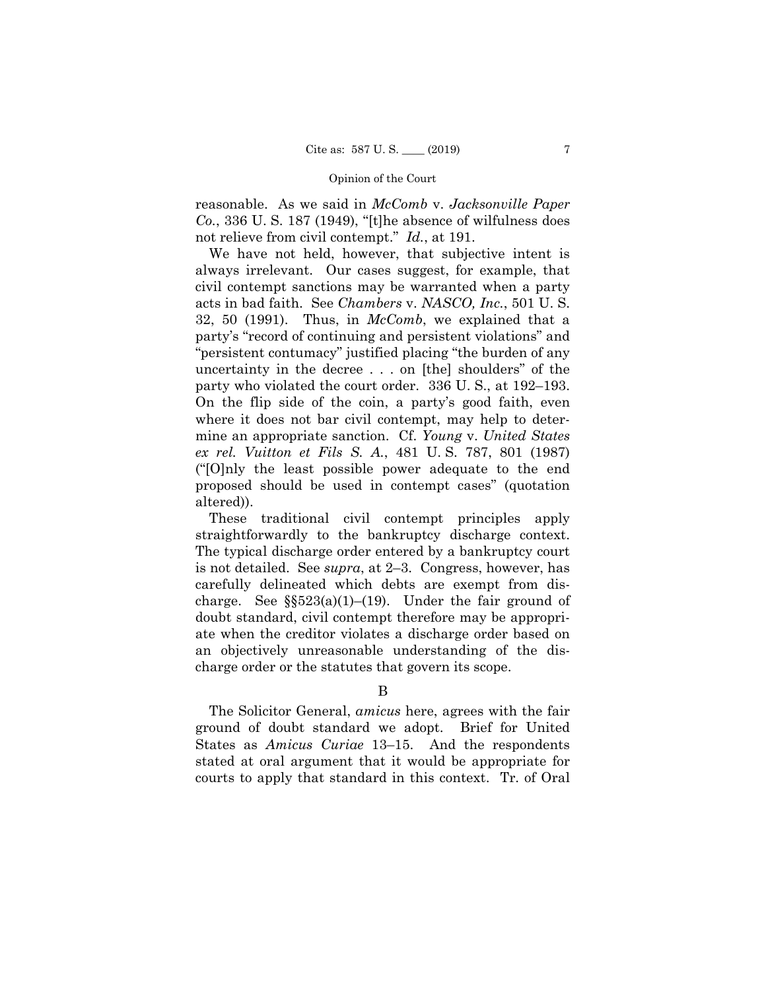reasonable. As we said in *McComb* v. *Jacksonville Paper Co.*, 336 U. S. 187 (1949), "[t]he absence of wilfulness does not relieve from civil contempt." *Id.*, at 191.

 party who violated the court order. 336 U. S., at 192–193. On the flip side of the coin, a party's good faith, even We have not held, however, that subjective intent is always irrelevant. Our cases suggest, for example, that civil contempt sanctions may be warranted when a party acts in bad faith. See *Chambers* v. *NASCO, Inc.*, 501 U. S. 32, 50 (1991). Thus, in *McComb*, we explained that a party's "record of continuing and persistent violations" and "persistent contumacy" justified placing "the burden of any uncertainty in the decree . . . on [the] shoulders" of the where it does not bar civil contempt, may help to determine an appropriate sanction. Cf. *Young* v. *United States ex rel. Vuitton et Fils S. A.*, 481 U. S. 787, 801 (1987) ("[O]nly the least possible power adequate to the end proposed should be used in contempt cases" (quotation altered)).

 straightforwardly to the bankruptcy discharge context. The typical discharge order entered by a bankruptcy court These traditional civil contempt principles apply is not detailed. See *supra*, at 2–3. Congress, however, has carefully delineated which debts are exempt from discharge. See  $\S$ §523(a)(1)–(19). Under the fair ground of doubt standard, civil contempt therefore may be appropriate when the creditor violates a discharge order based on an objectively unreasonable understanding of the discharge order or the statutes that govern its scope.

The Solicitor General, *amicus* here, agrees with the fair ground of doubt standard we adopt. Brief for United States as *Amicus Curiae* 13–15. And the respondents stated at oral argument that it would be appropriate for courts to apply that standard in this context. Tr. of Oral

B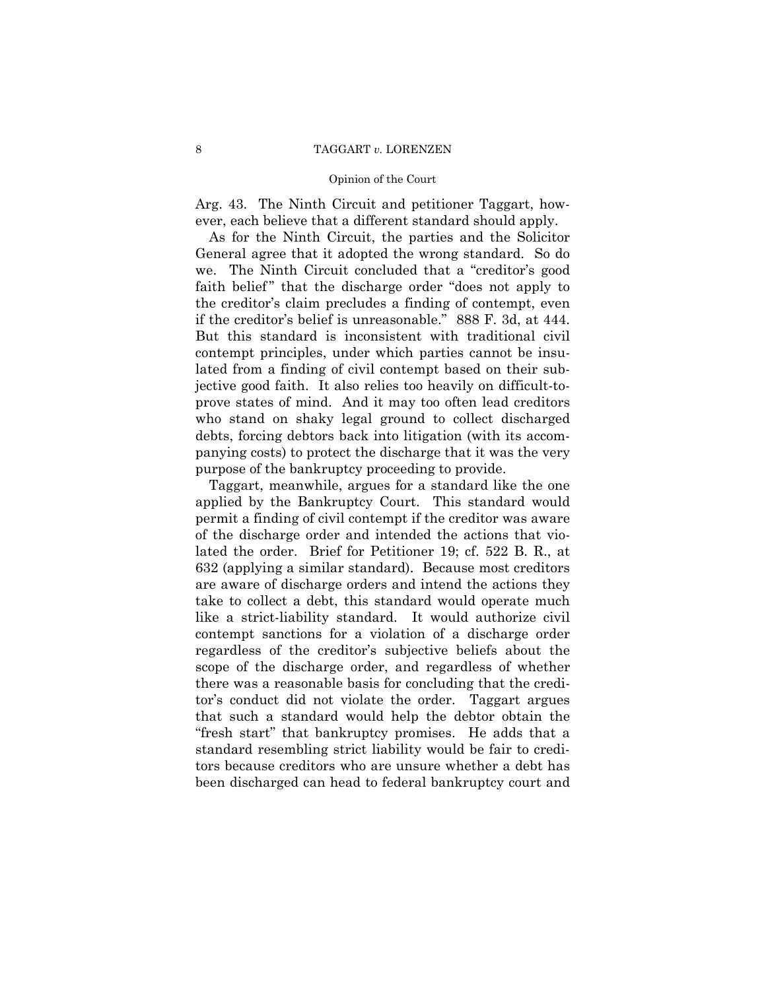#### Opinion of the Court

Arg. 43. The Ninth Circuit and petitioner Taggart, however, each believe that a different standard should apply.

As for the Ninth Circuit, the parties and the Solicitor General agree that it adopted the wrong standard. So do we. The Ninth Circuit concluded that a "creditor's good faith belief" that the discharge order "does not apply to the creditor's claim precludes a finding of contempt, even if the creditor's belief is unreasonable." 888 F. 3d, at 444. But this standard is inconsistent with traditional civil contempt principles, under which parties cannot be insulated from a finding of civil contempt based on their subjective good faith. It also relies too heavily on difficult-toprove states of mind. And it may too often lead creditors who stand on shaky legal ground to collect discharged debts, forcing debtors back into litigation (with its accompanying costs) to protect the discharge that it was the very purpose of the bankruptcy proceeding to provide.

Taggart, meanwhile, argues for a standard like the one applied by the Bankruptcy Court. This standard would permit a finding of civil contempt if the creditor was aware of the discharge order and intended the actions that violated the order. Brief for Petitioner 19; cf. 522 B. R., at 632 (applying a similar standard). Because most creditors are aware of discharge orders and intend the actions they take to collect a debt, this standard would operate much like a strict-liability standard. It would authorize civil contempt sanctions for a violation of a discharge order regardless of the creditor's subjective beliefs about the scope of the discharge order, and regardless of whether there was a reasonable basis for concluding that the creditor's conduct did not violate the order. Taggart argues that such a standard would help the debtor obtain the "fresh start" that bankruptcy promises. He adds that a standard resembling strict liability would be fair to creditors because creditors who are unsure whether a debt has been discharged can head to federal bankruptcy court and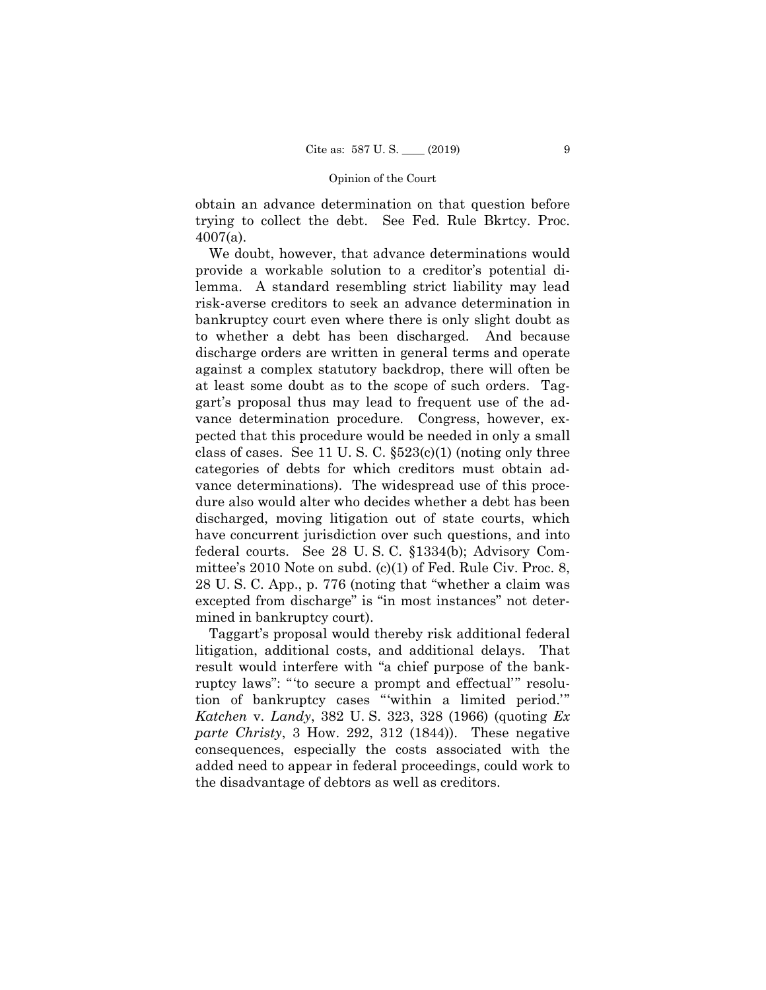obtain an advance determination on that question before trying to collect the debt. See Fed. Rule Bkrtcy. Proc. 4007(a).

We doubt, however, that advance determinations would provide a workable solution to a creditor's potential dilemma. A standard resembling strict liability may lead risk-averse creditors to seek an advance determination in bankruptcy court even where there is only slight doubt as to whether a debt has been discharged. And because discharge orders are written in general terms and operate against a complex statutory backdrop, there will often be at least some doubt as to the scope of such orders. Taggart's proposal thus may lead to frequent use of the advance determination procedure. Congress, however, expected that this procedure would be needed in only a small class of cases. See 11 U.S. C.  $$523(c)(1)$  (noting only three categories of debts for which creditors must obtain advance determinations). The widespread use of this procedure also would alter who decides whether a debt has been discharged, moving litigation out of state courts, which have concurrent jurisdiction over such questions, and into federal courts. See 28 U. S. C. §1334(b); Advisory Committee's 2010 Note on subd. (c)(1) of Fed. Rule Civ. Proc. 8, 28 U. S. C. App., p. 776 (noting that "whether a claim was excepted from discharge" is "in most instances" not determined in bankruptcy court).

 litigation, additional costs, and additional delays. That Taggart's proposal would thereby risk additional federal result would interfere with "a chief purpose of the bankruptcy laws": "'to secure a prompt and effectual'" resolution of bankruptcy cases "'within a limited period.'" *Katchen* v. *Landy*, 382 U. S. 323, 328 (1966) (quoting *Ex parte Christy*, 3 How. 292, 312 (1844)). These negative consequences, especially the costs associated with the added need to appear in federal proceedings, could work to the disadvantage of debtors as well as creditors.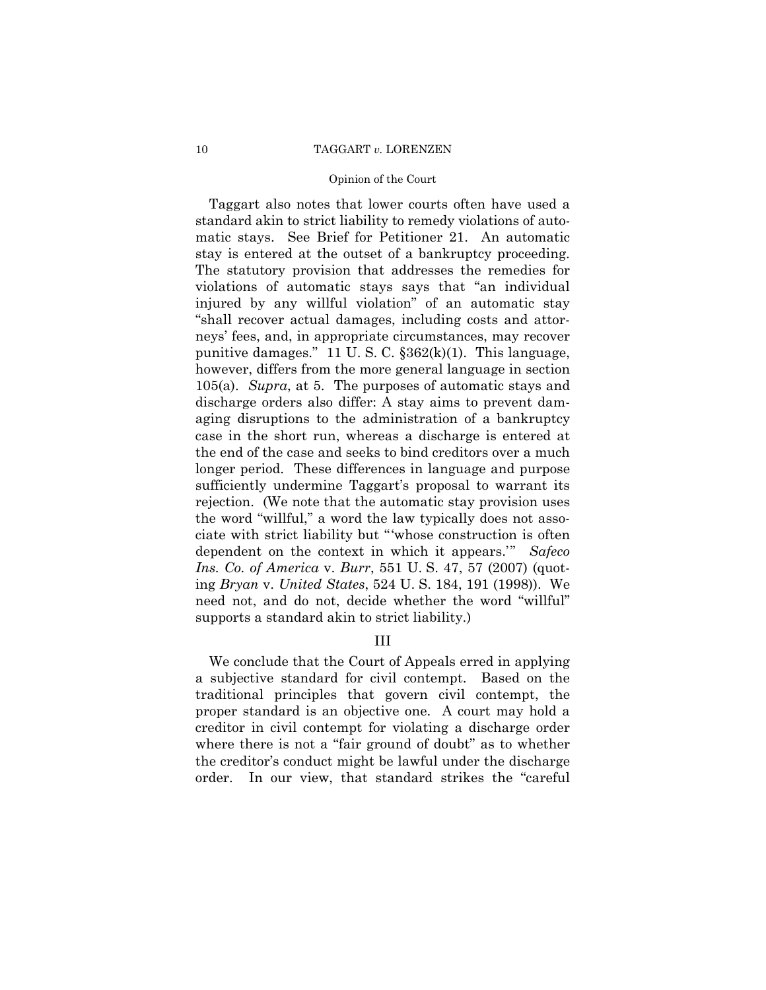#### Opinion of the Court

Taggart also notes that lower courts often have used a standard akin to strict liability to remedy violations of automatic stays. See Brief for Petitioner 21. An automatic stay is entered at the outset of a bankruptcy proceeding. The statutory provision that addresses the remedies for violations of automatic stays says that "an individual injured by any willful violation" of an automatic stay "shall recover actual damages, including costs and attorneys' fees, and, in appropriate circumstances, may recover punitive damages." 11 U. S. C. §362(k)(1). This language, however, differs from the more general language in section 105(a). *Supra*, at 5. The purposes of automatic stays and discharge orders also differ: A stay aims to prevent damaging disruptions to the administration of a bankruptcy case in the short run, whereas a discharge is entered at the end of the case and seeks to bind creditors over a much longer period. These differences in language and purpose sufficiently undermine Taggart's proposal to warrant its rejection. (We note that the automatic stay provision uses the word "willful," a word the law typically does not associate with strict liability but "'whose construction is often dependent on the context in which it appears.'" *Safeco Ins. Co. of America* v. *Burr*, 551 U. S. 47, 57 (2007) (quoting *Bryan* v. *United States*, 524 U. S. 184, 191 (1998)). We need not, and do not, decide whether the word "willful" supports a standard akin to strict liability.)

## III

We conclude that the Court of Appeals erred in applying a subjective standard for civil contempt. Based on the traditional principles that govern civil contempt, the proper standard is an objective one. A court may hold a creditor in civil contempt for violating a discharge order where there is not a "fair ground of doubt" as to whether the creditor's conduct might be lawful under the discharge order. In our view, that standard strikes the "careful